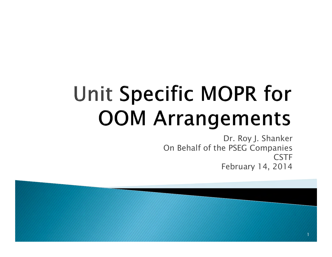# Unit Specific MOPR for **OOM Arrangements**

Dr. Roy J. Shanker On Behalf of the PSEG Companies **CSTF** February 14, 2014

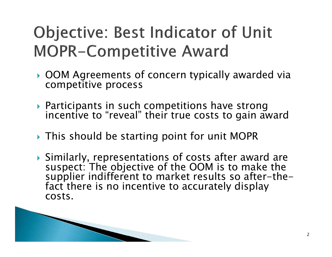### **Objective: Best Indicator of Unit MOPR-Competitive Award**

- OOM Agreements of concern typically awarded via competitive process
- Participants in such competitions have strong incentive to "reveal" their true costs to gain award
- This should be starting point for unit MOPR
- Similarly, representations of costs after award are suspect: The objective of the OOM is to make the supplier indifferent to market results so after-the- fact there is no incentive to accurately display costs.

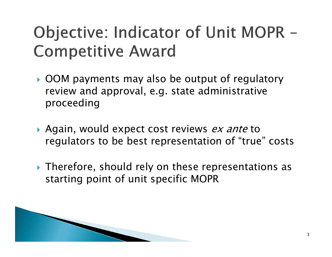#### Objective: Indicator of Unit MOPR -**Competitive Award**

- OOM payments may also be output of regulatory review and approval, e.g. state administrative proceeding
- Again, would expect cost reviews *ex ante* to regulators to be best representation of "true" costs
- Therefore, should rely on these representations as starting point of unit specific MOPR

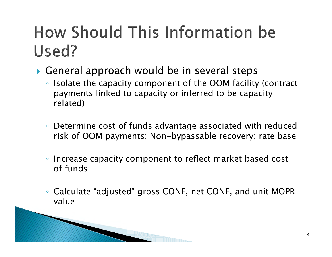## How Should This Information be Used?

- $\blacktriangleright$  General approach would be in several steps
	- Isolate the capacity component of the OOM facility (contract payments linked to capacity or inferred to be capacity related)
	- Determine cost of funds advantage associated with reduced risk of OOM payments: Non-bypassable recovery; rate base
	- $\bullet$  Increase capacity component to reflect market based cost of funds
	- $\bullet$  Calculate "adjusted" gross CONE, net CONE, and unit MOPR value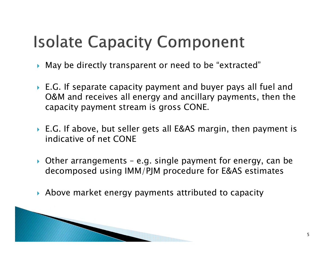### **Isolate Capacity Component**

- May be directly transparent or need to be "extracted"
- E.G. If separate capacity payment and buyer pays all fuel and O&M and receives all energy and ancillary payments, then the capacity payment stream is gross CONE.
- E.G. If above, but seller gets all E&AS margin, then payment is indicative of net CONE
- Other arrangements e.g. single payment for energy, can be decomposed using IMM/PJM procedure for E&AS estimates
- Above market energy payments attributed to capacity

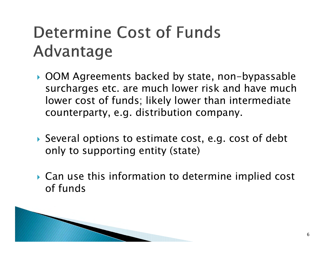### Determine Cost of Funds Advantage

- OOM Agreements backed by state, non-bypassable surcharges etc. are much lower risk and have much lower cost of funds; likely lower than intermediate counterparty, e.g. distribution company.
- Several options to estimate cost, e.g. cost of debt only to supporting entity (state)
- Can use this information to determine implied cost of funds

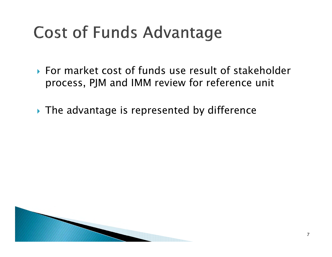## **Cost of Funds Advantage**

- For market cost of funds use result of stakeholder process, PJM and IMM review for reference unit
- The advantage is represented by difference